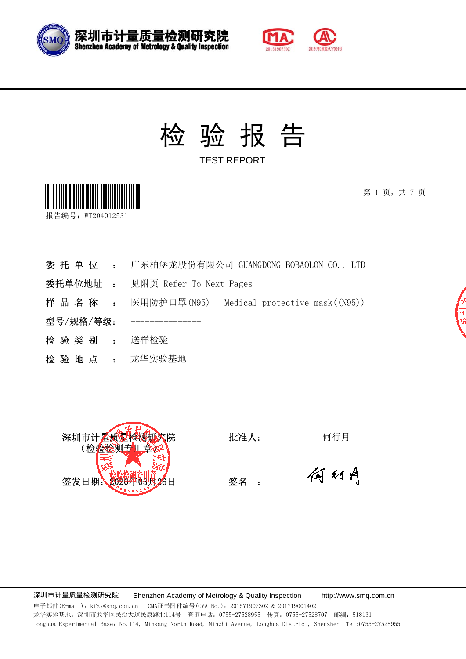



TEST REPORT



第 1 页, 共 7 页



- 委 托 单 位 : 广东柏堡龙股份有限公司 GUANGDONG BOBAOLON CO., LTD
- 委托单位地址 : 见附页 Refer To Next Pages
- 样 品 名 称 : 医用防护口罩(N95) Medical protective mask((N95))
- 型号/规格/等级:
- 检 验 类 别 : 送样检验
- 检验地点: 龙华实验基地



| 七レ ゾーヒ<br>.作八:<br>$J_{\rm ML}$ |  |
|--------------------------------|--|
|                                |  |

签名 :



深圳市计量质量检测研究院 Shenzhen Academy of Metrology & Quality Inspection http://www.smq.com.cn 电子邮件(E-mail): kfzx@smq.com.cn CMA证书附件编号(CMA No.): 20157190730Z & 201719001402 龙华实验基地:深圳市龙华区民治大道民康路北114号 查询电话:0755-27528955 传真:0755-27528707 邮编:518131 Longhua Experimental Base: No.114, Minkang North Road, Minzhi Avenue, Longhua District, Shenzhen Tel:0755-27528955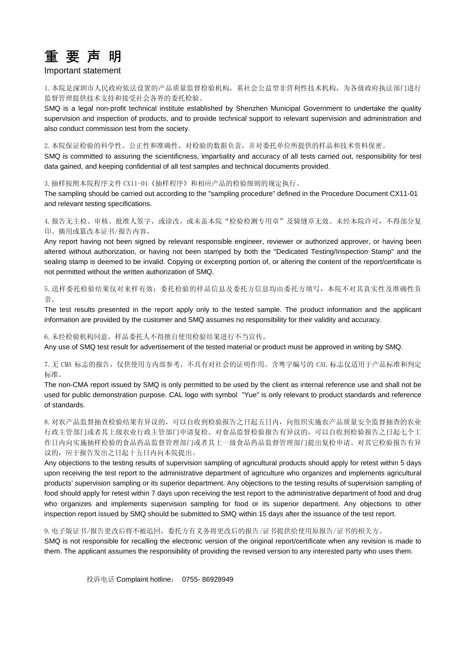

#### Important statement

1.本院是深圳市人民政府依法设置的产品质量监督检验机构,系社会公益型非营利性技术机构,为各级政府执法部门进行 监督管理提供技术支持和接受社会各界的委托检验。

SMQ is a legal non-profit technical institute established by Shenzhen Municipal Government to undertake the quality supervision and inspection of products, and to provide technical support to relevant supervision and administration and also conduct commission test from the society.

2.本院保证检验的科学性、公正性和准确性,对检验的数据负责,并对委托单位所提供的样品和技术资料保密。

SMQ is committed to assuring the scientificness, impartiality and accuracy of all tests carried out, responsibility for test data gained, and keeping confidential of all test samples and technical documents provided.

3.抽样按照本院程序文件 CX11-01《抽样程序》和相应产品的检验细则的规定执行。

The sampling should be carried out according to the "sampling procedure" defined in the Procedure Document CX11-01 and relevant testing specifications.

4. 报告无主检、审核、批准人签字, 或涂改, 或未盖本院"检验检测专用章"及骑缝章无效。未经本院许可, 不得部分复 印、摘用或篡改本证书/报告内容。

Any report having not been signed by relevant responsible engineer, reviewer or authorized approver, or having been altered without authorization, or having not been stamped by both the "Dedicated Testing/Inspection Stamp" and the sealing stamp is deemed to be invalid. Copying or excerpting portion of, or altering the content of the report/certificate is not permitted without the written authorization of SMQ.

5.送样委托检验结果仅对来样有效:委托检验的样品信息及委托方信息均由委托方填写,本院不对其真实性及准确性负 责。

The test results presented in the report apply only to the tested sample. The product information and the applicant information are provided by the customer and SMQ assumes no responsibility for their validity and accuracy.

#### 6.未经检验机构同意,样品委托人不得擅自使用检验结果进行不当宣传。

Any use of SMQ test result for advertisement of the tested material or product must be approved in writing by SMQ.

7.无 CMA 标志的报告,仅供使用方内部参考,不具有对社会的证明作用。含粤字编号的 CAL 标志仅适用于产品标准和判定 标准。

The non-CMA report issued by SMQ is only permitted to be used by the client as internal reference use and shall not be used for public demonstration purpose. CAL logo with symbol "Yue" is only relevant to product standards and reference of standards.

8.对农产品监督抽查检验结果有异议的,可以自收到检验报告之日起五日内,向组织实施农产品质量安全监督抽查的农业 行政主管部门或者其上级农业行政主管部门申请复检。对食品监督检验报告有异议的,可以自收到检验报告之日起七个工 作日内向实施抽样检验的食品药品监督管理部门或者其上一级食品药品监督管理部门提出复检申请。对其它检验报告有异 议的,应于报告发出之日起十五日内向本院提出。

Any objections to the testing results of supervision sampling of agricultural products should apply for retest within 5 days upon receiving the test report to the administrative department of agriculture who organizes and implements agricultural products' supervision sampling or its superior department. Any objections to the testing results of supervision sampling of food should apply for retest within 7 days upon receiving the test report to the administrative department of food and drug who organizes and implements supervision sampling for food or its superior department. Any objections to other inspection report issued by SMQ should be submitted to SMQ within 15 days after the issuance of the test report.

9.电子版证书/报告更改后将不被追回,委托方有义务将更改后的报告/证书提供给使用原报告/证书的相关方。

SMQ is not responsible for recalling the electronic version of the original report/certificate when any revision is made to them. The applicant assumes the responsibility of providing the revised version to any interested party who uses them.

投诉电话 Complaint hotline: 0755- 86928949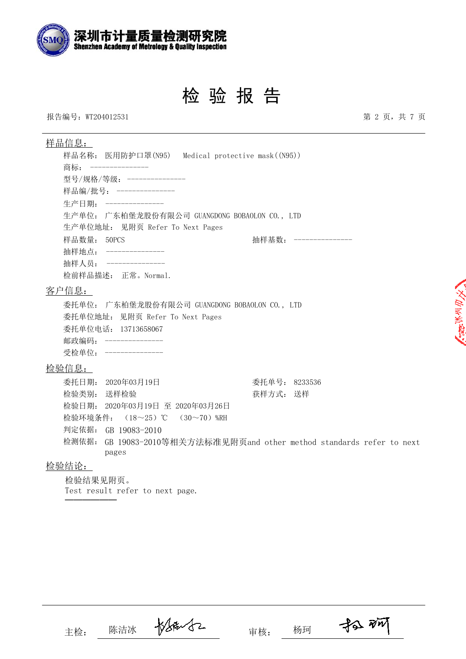

报告编号:WT204012531 第 2 页,共 7 页

| <u>样品信息:</u>                                     |                                                                       |
|--------------------------------------------------|-----------------------------------------------------------------------|
| 样品名称: 医用防护口罩(N95) Medical protective mask((N95)) |                                                                       |
| 商标: ---------------                              |                                                                       |
| 型号/规格/等级: ---------------                        |                                                                       |
| 样品编/批号: ---------------                          |                                                                       |
| 生产日期: ----------------                           |                                                                       |
| 生产单位: 广东柏堡龙股份有限公司 GUANGDONG BOBAOLON CO., LTD    |                                                                       |
| 生产单位地址: 见附页 Refer To Next Pages                  |                                                                       |
| 样品数量: 50PCS                                      | 抽样基数: ---------------                                                 |
| 抽样地点: ---------------                            |                                                                       |
| 抽样人员: ---------------                            |                                                                       |
| 检前样品描述: 正常。Normal.                               |                                                                       |
| 客户信息:                                            |                                                                       |
| 委托单位: 广东柏堡龙股份有限公司 GUANGDONG BOBAOLON CO., LTD    |                                                                       |
| 委托单位地址: 见附页 Refer To Next Pages                  |                                                                       |
| 委托单位电话: 13713658067                              |                                                                       |
| 邮政编码: ---------------                            |                                                                       |
| 受检单位: ---------------                            |                                                                       |
| 检验信息:                                            |                                                                       |
| 委托日期: 2020年03月19日                                | 委托单号: 8233536                                                         |
| 检验类别:<br>送样检验                                    | 获样方式: 送样                                                              |
| 检验日期: 2020年03月19日 至 2020年03月26日                  |                                                                       |
| 检验环境条件: (18~25)℃ (30~70)%RH                      |                                                                       |
| 判定依据: GB 19083-2010                              |                                                                       |
|                                                  | 检测依据: GB 19083-2010等相关方法标准见附页and other method standards refer to next |

### 检验结论:

检验结果见附页。 Test result refer to next page. ──────

pages

主检: 陈洁冰 校长部 人子 审核: 杨珂

 $\n *3 8 W*\n$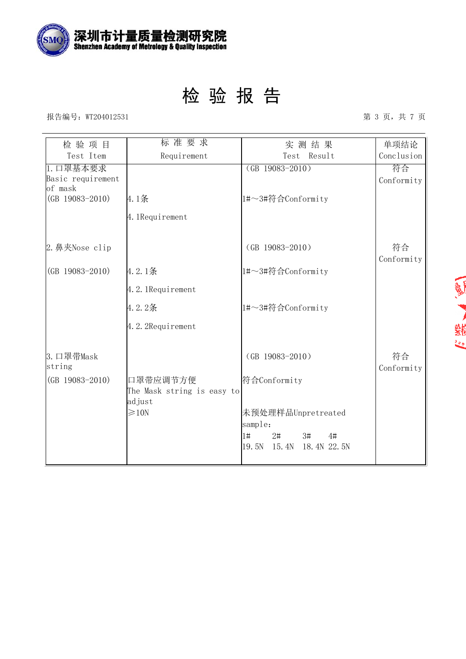

报告编号:WT204012531 第 3 页,共 7 页

| 检验项目                | 标准要求                       | 实测结果                        | 单项结论       |
|---------------------|----------------------------|-----------------------------|------------|
| Test Item           | Requirement                | Test Result                 | Conclusion |
| 1. 口罩基本要求           |                            | $(GB 19083 - 2010)$         | 符合         |
| Basic requirement   |                            |                             | Conformity |
| of mask             |                            |                             |            |
| $(GB 19083 - 2010)$ | 4.1条                       | 1#~3#符合Conformity           |            |
|                     | 4. 1Requirement            |                             |            |
|                     |                            |                             |            |
| 2. 鼻夹Nose clip      |                            | $(GB 19083 - 2010)$         | 符合         |
|                     |                            |                             | Conformity |
| $(GB 19083 - 2010)$ | 4.2.1条                     | 1#~3#符合Conformity           |            |
|                     | 4.2.1Requirement           |                             |            |
|                     | 4.2.2条                     | 1#~3#符合Conformity           |            |
|                     | 4.2.2Requirement           |                             |            |
|                     |                            |                             |            |
| 3. 口罩带Mask          |                            | $(GB 19083 - 2010)$         | 符合         |
| string              |                            |                             | Conformity |
| $(GB 19083 - 2010)$ | 口罩带应调节方便                   | 符合Conformity                |            |
|                     | The Mask string is easy to |                             |            |
|                     | adjust                     |                             |            |
|                     | $\geqslant$ 10N            | 未预处理样品Unpretreated          |            |
|                     |                            | sample:                     |            |
|                     |                            | 1#<br>$2\sharp$<br>3#<br>4# |            |
|                     |                            | 19.5N<br>15.4N 18.4N 22.5N  |            |
|                     |                            |                             |            |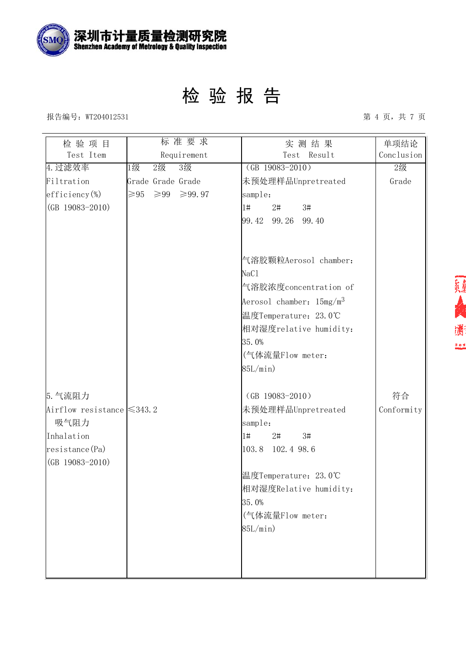

#### 报告编号:WT204012531 第 4 页,共 7 页

| 检验项目                            | 标准要求                                       | 实测结果                        | 单项结论       |
|---------------------------------|--------------------------------------------|-----------------------------|------------|
| Test Item                       | Requirement                                | Test Result                 | Conclusion |
| 4. 过滤效率                         | 3级<br>1级<br>$2$ 级                          | $(GB 19083 - 2010)$         | 2级         |
| Filtration                      | Grade Grade Grade                          | 未预处理样品Unpretreated          | Grade      |
| $efficiency$ %)                 | $\geqslant$ 95<br>$\geqslant$ 99<br>≥99.97 | sample:                     |            |
| $(GB 19083 - 2010)$             |                                            | 1#<br>$2\sharp$<br>3#       |            |
|                                 |                                            | 99.42 99.26 99.40           |            |
|                                 |                                            |                             |            |
|                                 |                                            | 气溶胶颗粒Aerosol chamber:       |            |
|                                 |                                            | NaC1                        |            |
|                                 |                                            | 气溶胶浓度concentration of       |            |
|                                 |                                            | Aerosol chamber: $15mg/m^3$ |            |
|                                 |                                            | 温度Temperature: 23.0℃        |            |
|                                 |                                            | 相对湿度relative humidity:      |            |
|                                 |                                            | 35.0%                       |            |
|                                 |                                            | (气体流量Flow meter:            |            |
|                                 |                                            | 85L/min)                    |            |
| 5. 气流阻力                         |                                            | $(GB 19083 - 2010)$         | 符合         |
| Airflow resistance $\leq 343.2$ |                                            | 未预处理样品Unpretreated          | Conformity |
| 吸气阻力                            |                                            | sample:                     |            |
| Inhalation                      |                                            | 3#<br> 1#<br>$2\sharp$      |            |
| resistance(Pa)                  |                                            | 103.8<br>102.4 98.6         |            |
| $(GB 19083 - 2010)$             |                                            |                             |            |
|                                 |                                            | 温度Temperature: 23.0℃        |            |
|                                 |                                            | 相对湿度Relative humidity:      |            |
|                                 |                                            | 35.0%                       |            |
|                                 |                                            | (气体流量Flow meter:            |            |
|                                 |                                            | 85L/min)                    |            |
|                                 |                                            |                             |            |
|                                 |                                            |                             |            |
|                                 |                                            |                             |            |

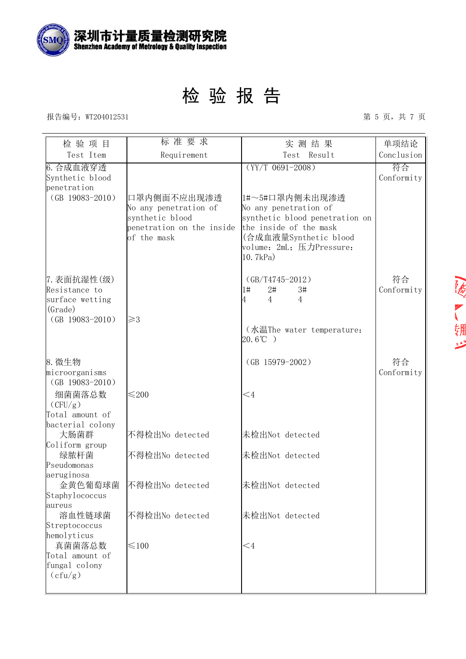

#### 报告编号:WT204012531 第 5 页,共 7 页

| 检验项目                                                       | 标准要求                                                                                                | 实测结果                                                                                                                                                                 | 单项结论             |
|------------------------------------------------------------|-----------------------------------------------------------------------------------------------------|----------------------------------------------------------------------------------------------------------------------------------------------------------------------|------------------|
| Test Item                                                  | Requirement                                                                                         | Test Result                                                                                                                                                          | Conclusion       |
| 6. 合成血液穿透<br>Synthetic blood<br>penetration                |                                                                                                     | $(YY/T 0691 - 2008)$                                                                                                                                                 | 符合<br>Conformity |
| $(GB 19083 - 2010)$                                        | 口罩内侧面不应出现渗透<br>No any penetration of<br>synthetic blood<br>penetration on the inside<br>of the mask | 1#~5#口罩内侧未出现渗透<br>No any penetration of<br>synthetic blood penetration on<br>the inside of the mask<br>(合成血液量Synthetic blood<br>volume: 2mL; 压力Pressure:<br>10.7kPa) |                  |
| 7. 表面抗湿性(级)<br>Resistance to<br>surface wetting<br>(Grade) |                                                                                                     | $(GB/T4745-2012)$<br>$2\sharp$<br>3#<br>$1\#$<br>$\overline{4}$<br>$\overline{4}$<br>4                                                                               | 符合<br>Conformity |
| $(GB 19083 - 2010)$                                        | $\geq$ 3                                                                                            | (水温The water temperature:<br>$20.6^{\circ}C$ )                                                                                                                       |                  |
| 8. 微生物<br>microorganisms<br>$(GB 19083 - 2010)$            |                                                                                                     | $(GB 15979 - 2002)$                                                                                                                                                  | 符合<br>Conformity |
| 细菌菌落总数<br>(CFU/g)<br>Total amount of<br>bacterial colony   | $≤200$                                                                                              | $\leq 4$                                                                                                                                                             |                  |
| 大肠菌群<br>Coliform group                                     | 不得检出No detected                                                                                     | 未检出Not detected                                                                                                                                                      |                  |
| 绿脓杆菌<br>Pseudomonas<br>aeruginosa                          | 不得检出No detected                                                                                     | 未检出Not detected                                                                                                                                                      |                  |
| 金黄色葡萄球菌<br>Staphylococcus<br>laureus                       | 不得检出No detected                                                                                     | 未检出Not detected                                                                                                                                                      |                  |
| 溶血性链球菌<br>Streptococcus<br>hemolyticus                     | 不得检出No detected                                                                                     | 未检出Not detected                                                                                                                                                      |                  |
| 真菌菌落总数<br>Total amount of<br>fungal colony<br>(cfu/g)      | $\leq 100$                                                                                          | $\leq 4$                                                                                                                                                             |                  |

一点,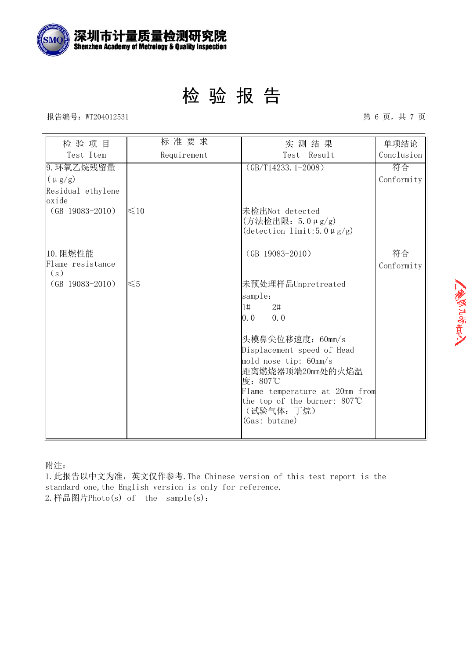

报告编号:WT204012531 第 6 页,共 7 页

| 检验项目                       | 标准要求        | 实测结果                                                                    | 单项结论       |
|----------------------------|-------------|-------------------------------------------------------------------------|------------|
| Test Item                  | Requirement | Test Result                                                             | Conclusion |
| 9. 环氧乙烷残留量                 |             | $(GB/T14233.1-2008)$                                                    | 符合         |
| $(\mu g/g)$                |             |                                                                         | Conformity |
| Residual ethylene<br>oxide |             |                                                                         |            |
| $(GB 19083 - 2010)$        | $\leq 10$   | 未检出Not detected<br>(方法检出限: 5.0µg/g)<br>(detection limit: 5.0 $\mu$ g/g) |            |
| 10. 阻燃性能                   |             | $(GB 19083 - 2010)$                                                     | 符合         |
| Flame resistance<br>(s)    |             |                                                                         | Conformity |
| $(GB 19083 - 2010)$        | $\leq 5$    | 未预处理样品Unpretreated                                                      |            |
|                            |             | sample:                                                                 |            |
|                            |             | 1#<br>2#                                                                |            |
|                            |             | $0.0$ $0.0$                                                             |            |
|                            |             | 头模鼻尖位移速度: 60mm/s                                                        |            |
|                            |             | Displacement speed of Head                                              |            |
|                            |             | mold nose tip: 60mm/s                                                   |            |
|                            |             | 距离燃烧器顶端20mm处的火焰温                                                        |            |
|                            |             | 度: 807℃<br>Flame temperature at 20mm from                               |            |
|                            |             | the top of the burner: 807°C                                            |            |
|                            |             | (试验气体: 丁烷)                                                              |            |
|                            |             | (Gas: butane)                                                           |            |
|                            |             |                                                                         |            |

附注:

1.此报告以中文为准,英文仅作参考.The Chinese version of this test report is the standard one, the English version is only for reference. 2.样品图片Photo(s) of the sample(s):